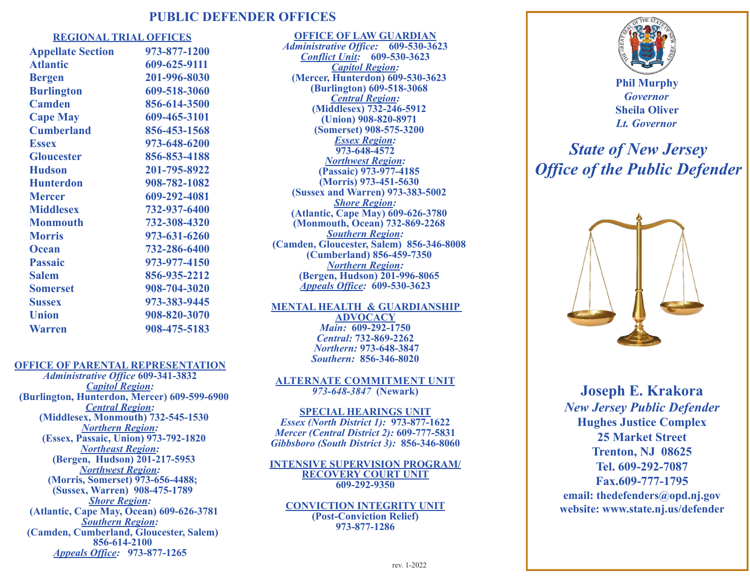## **PUBLIC DEFENDER OFFICES**

#### **REGIONAL TRIAL OFFICES**

| <b>Appellate Section</b> | 973-877-1200 |
|--------------------------|--------------|
| <b>Atlantic</b>          | 609-625-9111 |
| <b>Bergen</b>            | 201-996-8030 |
| <b>Burlington</b>        | 609-518-3060 |
| <b>Camden</b>            | 856-614-3500 |
| <b>Cape May</b>          | 609-465-3101 |
| <b>Cumberland</b>        | 856-453-1568 |
| <b>Essex</b>             | 973-648-6200 |
| <b>Gloucester</b>        | 856-853-4188 |
| <b>Hudson</b>            | 201-795-8922 |
| <b>Hunterdon</b>         | 908-782-1082 |
| <b>Mercer</b>            | 609-292-4081 |
| <b>Middlesex</b>         | 732-937-6400 |
| <b>Monmouth</b>          | 732-308-4320 |
| <b>Morris</b>            | 973-631-6260 |
| <b>Ocean</b>             | 732-286-6400 |
| <b>Passaic</b>           | 973-977-4150 |
| <b>Salem</b>             | 856-935-2212 |
| <b>Somerset</b>          | 908-704-3020 |
| <b>Sussex</b>            | 973-383-9445 |
| <b>Union</b>             | 908-820-3070 |
| <b>Warren</b>            | 908-475-5183 |

**OFFICE OF LAW GUARDIAN**  *Administrative Office:* **609-530-3623** *Conflict Unit:* **609-530-3623** *Capitol Region:*  **(Mercer, Hunterdon) 609-530-3623 (Burlington) 609-518-3068** *Central Region:*  **(Middlesex) 732-246-5912 (Union) 908-820-8971 (Somerset) 908-575-3200** *Essex Region:*  **973-648-4572** *Northwest Region:*  **(Passaic) 973-977-4185 (Morris) 973-451-5630 (Sussex and Warren) 973-383-5002** *Shore Region:*  **(Atlantic, Cape May) 609-626-3780 (Monmouth, Ocean) 732-869-2268** *Southern Region:*  **(Camden, Gloucester, Salem) 856-346-8008 (Cumberland) 856-459-7350** *Northern Region:*  **(Bergen, Hudson) 201-996-8065** *Appeals Office:* **609-530-3623**

**MENTAL HEALTH & GUARDIANSHIP ADVOCACY**  *Main:* **609-292-1750** *Central:* **732-869-2262** *Northern:* **973-648-3847** *Southern:* **856-346-8020**

#### **OFFICE OF PARENTAL REPRESENTATION**

*Administrative Office* **609-341-3832** *Capitol Region:*  **(Burlington, Hunterdon, Mercer) 609-599-6900** *Central Region:*  **(Middlesex, Monmouth) 732-545-1530** *Northern Region:*  **(Essex, Passaic, Union) 973-792-1820** *Northeast Region:*  **(Bergen, Hudson) 201-217-5953** *Northwest Region:*  **(Morris, Somerset) 973-656-4488; (Sussex, Warren) 908-475-1789** *Shore Region:*  **(Atlantic, Cape May, Ocean) 609-626-3781** *Southern Region:*  **(Camden, Cumberland, Gloucester, Salem) 856-614-2100** *Appeals Office:* **973-877-1265**

#### **ALTERNATE COMMITMENT UNIT** *973-648-3847* **(Newark)**

## **SPECIAL HEARINGS UNIT** *Essex (North District 1):* **973-877-1622**  *Mercer (Central District 2):* **609-777-5831** *Gibbsboro (South District 3):* **856-346-8060**

#### **INTENSIVE SUPERVISION PROGRAM/ RECOVERY COURT UNIT 609-292-9350**

**CONVICTION INTEGRITY UNIT (Post-Conviction Relief) 973-877-1286**



# *State of New Jersey Office of the Public Defender*



**Joseph E. Krakora** *New Jersey Public Defender* **Hughes Justice Complex 25 Market Street Trenton, NJ 08625 Tel. 609-292-7087 Fax.609-777-1795 email: thedefenders@opd.nj.gov website: www.state.nj.us/defender**